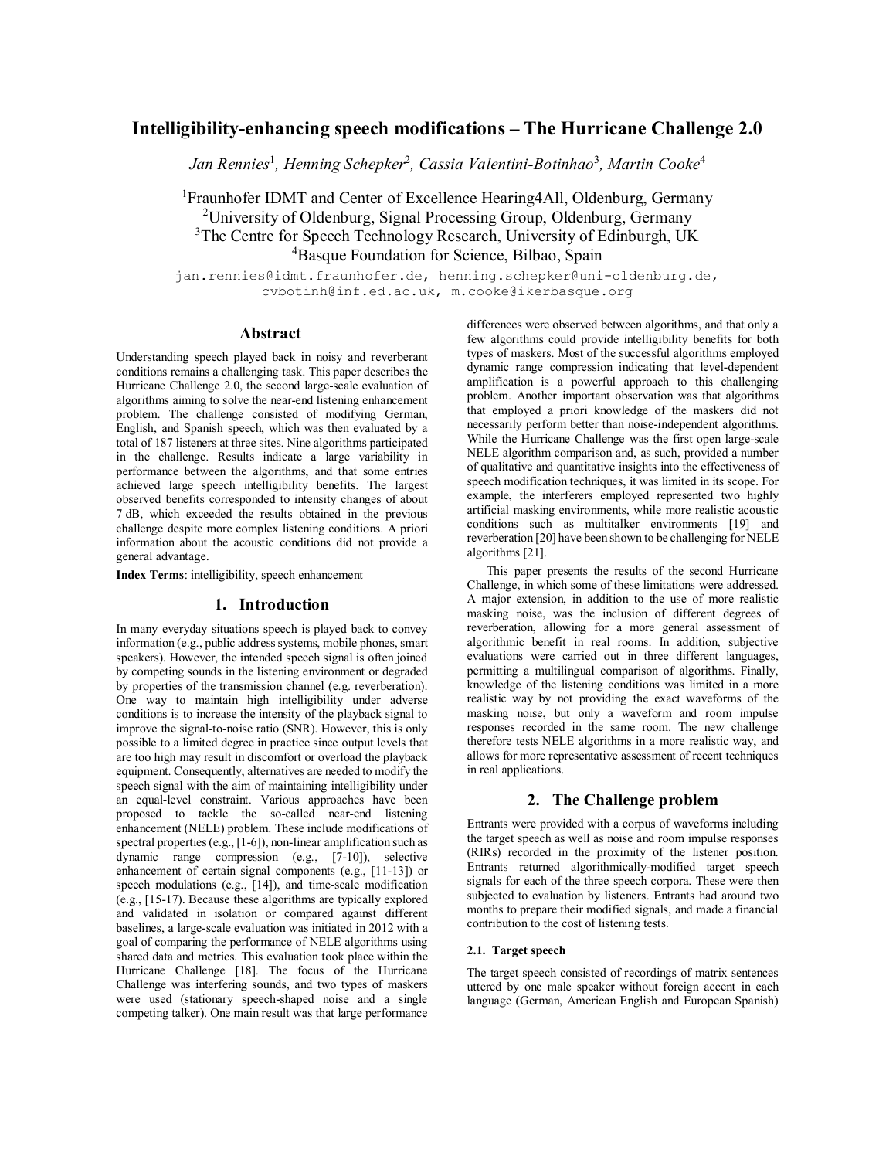# **Intelligibility-enhancing speech modifications – The Hurricane Challenge 2.0**

*Jan Rennies*<sup>1</sup> *, Henning Schepker*<sup>2</sup> *, Cassia Valentini-Botinhao*<sup>3</sup> *, Martin Cooke*<sup>4</sup>

<sup>1</sup>Fraunhofer IDMT and Center of Excellence Hearing4All, Oldenburg, Germany <sup>2</sup>University of Oldenburg, Signal Processing Group, Oldenburg, Germany <sup>3</sup>The Centre for Speech Technology Research, University of Edinburgh, UK <sup>4</sup>Basque Foundation for Science, Bilbao, Spain

jan.rennies@idmt.fraunhofer.de, henning.schepker@uni-oldenburg.de, cvbotinh@inf.ed.ac.uk, m.cooke@ikerbasque.org

# **Abstract**

Understanding speech played back in noisy and reverberant conditions remains a challenging task. This paper describes the Hurricane Challenge 2.0, the second large-scale evaluation of algorithms aiming to solve the near-end listening enhancement problem. The challenge consisted of modifying German, English, and Spanish speech, which was then evaluated by a total of 187 listeners at three sites. Nine algorithms participated in the challenge. Results indicate a large variability in performance between the algorithms, and that some entries achieved large speech intelligibility benefits. The largest observed benefits corresponded to intensity changes of about 7 dB, which exceeded the results obtained in the previous challenge despite more complex listening conditions. A priori information about the acoustic conditions did not provide a general advantage.

**Index Terms**: intelligibility, speech enhancement

#### **1. Introduction**

In many everyday situations speech is played back to convey information (e.g., public address systems, mobile phones, smart speakers). However, the intended speech signal is often joined by competing sounds in the listening environment or degraded by properties of the transmission channel (e.g. reverberation). One way to maintain high intelligibility under adverse conditions is to increase the intensity of the playback signal to improve the signal-to-noise ratio (SNR). However, this is only possible to a limited degree in practice since output levels that are too high may result in discomfort or overload the playback equipment. Consequently, alternatives are needed to modify the speech signal with the aim of maintaining intelligibility under an equal-level constraint. Various approaches have been proposed to tackle the so-called near-end listening enhancement (NELE) problem. These include modifications of spectral properties (e.g., [1-6]), non-linear amplification such as dynamic range compression (e.g., [7-10]), selective enhancement of certain signal components (e.g., [11-13]) or speech modulations (e.g., [14]), and time-scale modification (e.g., [15-17). Because these algorithms are typically explored and validated in isolation or compared against different baselines, a large-scale evaluation was initiated in 2012 with a goal of comparing the performance of NELE algorithms using shared data and metrics. This evaluation took place within the Hurricane Challenge [18]. The focus of the Hurricane Challenge was interfering sounds, and two types of maskers were used (stationary speech-shaped noise and a single competing talker). One main result was that large performance

differences were observed between algorithms, and that only a few algorithms could provide intelligibility benefits for both types of maskers. Most of the successful algorithms employed dynamic range compression indicating that level-dependent amplification is a powerful approach to this challenging problem. Another important observation was that algorithms that employed a priori knowledge of the maskers did not necessarily perform better than noise-independent algorithms. While the Hurricane Challenge was the first open large-scale NELE algorithm comparison and, as such, provided a number of qualitative and quantitative insights into the effectiveness of speech modification techniques, it was limited in its scope. For example, the interferers employed represented two highly artificial masking environments, while more realistic acoustic conditions such as multitalker environments [19] and reverberation [20] have been shown to be challenging for NELE algorithms [21].

This paper presents the results of the second Hurricane Challenge, in which some of these limitations were addressed. A major extension, in addition to the use of more realistic masking noise, was the inclusion of different degrees of reverberation, allowing for a more general assessment of algorithmic benefit in real rooms. In addition, subjective evaluations were carried out in three different languages, permitting a multilingual comparison of algorithms. Finally, knowledge of the listening conditions was limited in a more realistic way by not providing the exact waveforms of the masking noise, but only a waveform and room impulse responses recorded in the same room. The new challenge therefore tests NELE algorithms in a more realistic way, and allows for more representative assessment of recent techniques in real applications.

# **2. The Challenge problem**

Entrants were provided with a corpus of waveforms including the target speech as well as noise and room impulse responses (RIRs) recorded in the proximity of the listener position. Entrants returned algorithmically-modified target speech signals for each of the three speech corpora. These were then subjected to evaluation by listeners. Entrants had around two months to prepare their modified signals, and made a financial contribution to the cost of listening tests.

#### **2.1. Target speech**

The target speech consisted of recordings of matrix sentences uttered by one male speaker without foreign accent in each language (German, American English and European Spanish)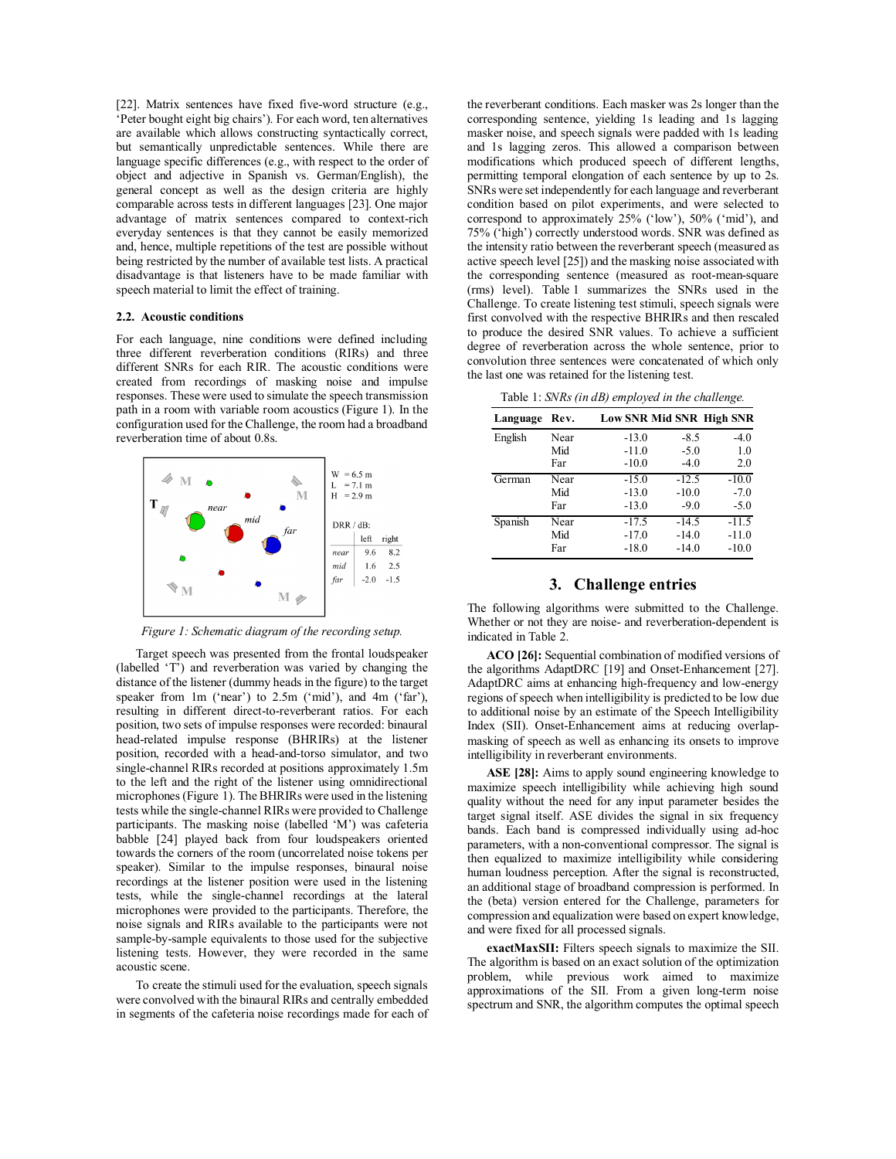[22]. Matrix sentences have fixed five-word structure (e.g., 'Peter bought eight big chairs'). For each word, ten alternatives are available which allows constructing syntactically correct, but semantically unpredictable sentences. While there are language specific differences (e.g., with respect to the order of object and adjective in Spanish vs. German/English), the general concept as well as the design criteria are highly comparable across tests in different languages [23]. One major advantage of matrix sentences compared to context-rich everyday sentences is that they cannot be easily memorized and, hence, multiple repetitions of the test are possible without being restricted by the number of available test lists. A practical disadvantage is that listeners have to be made familiar with speech material to limit the effect of training.

#### **2.2. Acoustic conditions**

For each language, nine conditions were defined including three different reverberation conditions (RIRs) and three different SNRs for each RIR. The acoustic conditions were created from recordings of masking noise and impulse responses. These were used to simulate the speech transmission path in a room with variable room acoustics (Figure 1). In the configuration used for the Challenge, the room had a broadband reverberation time of about 0.8s.



*Figure 1: Schematic diagram of the recording setup.*

Target speech was presented from the frontal loudspeaker (labelled 'T') and reverberation was varied by changing the distance of the listener (dummy heads in the figure) to the target speaker from 1m ('near') to 2.5m ('mid'), and 4m ('far'), resulting in different direct-to-reverberant ratios. For each position, two sets of impulse responses were recorded: binaural head-related impulse response (BHRIRs) at the listener position, recorded with a head-and-torso simulator, and two single-channel RIRs recorded at positions approximately 1.5m to the left and the right of the listener using omnidirectional microphones (Figure 1). The BHRIRs were used in the listening tests while the single-channel RIRs were provided to Challenge participants. The masking noise (labelled 'M') was cafeteria babble [24] played back from four loudspeakers oriented towards the corners of the room (uncorrelated noise tokens per speaker). Similar to the impulse responses, binaural noise recordings at the listener position were used in the listening tests, while the single-channel recordings at the lateral microphones were provided to the participants. Therefore, the noise signals and RIRs available to the participants were not sample-by-sample equivalents to those used for the subjective listening tests. However, they were recorded in the same acoustic scene.

To create the stimuli used for the evaluation, speech signals were convolved with the binaural RIRs and centrally embedded in segments of the cafeteria noise recordings made for each of the reverberant conditions. Each masker was 2s longer than the corresponding sentence, yielding 1s leading and 1s lagging masker noise, and speech signals were padded with 1s leading and 1s lagging zeros. This allowed a comparison between modifications which produced speech of different lengths, permitting temporal elongation of each sentence by up to 2s. SNRs were set independently for each language and reverberant condition based on pilot experiments, and were selected to correspond to approximately 25% ('low'), 50% ('mid'), and 75% ('high') correctly understood words. SNR was defined as the intensity ratio between the reverberant speech (measured as active speech level [25]) and the masking noise associated with the corresponding sentence (measured as root-mean-square (rms) level). Table 1 summarizes the SNRs used in the Challenge. To create listening test stimuli, speech signals were first convolved with the respective BHRIRs and then rescaled to produce the desired SNR values. To achieve a sufficient degree of reverberation across the whole sentence, prior to convolution three sentences were concatenated of which only the last one was retained for the listening test.

Table 1: *SNRs (in dB) employed in the challenge.*

| Language | Rev. |         |         | Low SNR Mid SNR High SNR |
|----------|------|---------|---------|--------------------------|
| English  | Near | $-13.0$ | $-8.5$  | $-4.0$                   |
|          | Mid  | $-11.0$ | $-5.0$  | 1.0                      |
|          | Far  | $-10.0$ | $-4.0$  | 2.0                      |
| German   | Near | $-15.0$ | $-12.5$ | $-10.0$                  |
|          | Mid  | $-13.0$ | $-10.0$ | $-7.0$                   |
|          | Far  | $-13.0$ | $-9.0$  | $-5.0$                   |
| Spanish  | Near | $-17.5$ | $-14.5$ | $-11.5$                  |
|          | Mid  | $-17.0$ | $-14.0$ | $-11.0$                  |
|          | Far  | $-18.0$ | $-14.0$ | $-10.0$                  |

#### **3. Challenge entries**

The following algorithms were submitted to the Challenge. Whether or not they are noise- and reverberation-dependent is indicated in Table 2.

**ACO [26]:** Sequential combination of modified versions of the algorithms AdaptDRC [19] and Onset-Enhancement [27]. AdaptDRC aims at enhancing high-frequency and low-energy regions of speech when intelligibility is predicted to be low due to additional noise by an estimate of the Speech Intelligibility Index (SII). Onset-Enhancement aims at reducing overlapmasking of speech as well as enhancing its onsets to improve intelligibility in reverberant environments.

**ASE [28]:** Aims to apply sound engineering knowledge to maximize speech intelligibility while achieving high sound quality without the need for any input parameter besides the target signal itself. ASE divides the signal in six frequency bands. Each band is compressed individually using ad-hoc parameters, with a non-conventional compressor. The signal is then equalized to maximize intelligibility while considering human loudness perception. After the signal is reconstructed, an additional stage of broadband compression is performed. In the (beta) version entered for the Challenge, parameters for compression and equalization were based on expert knowledge, and were fixed for all processed signals.

**exactMaxSII:** Filters speech signals to maximize the SII. The algorithm is based on an exact solution of the optimization problem, while previous work aimed to maximize approximations of the SII. From a given long-term noise spectrum and SNR, the algorithm computes the optimal speech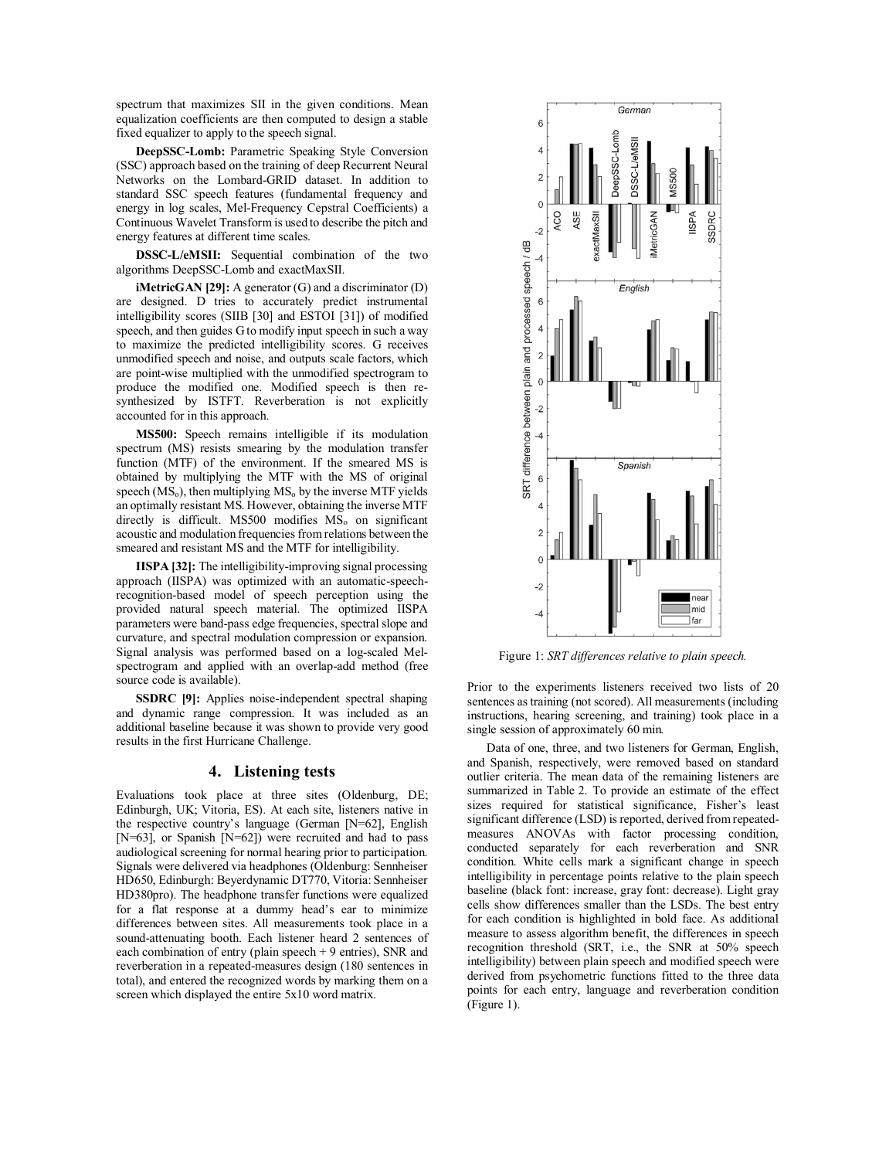spectrum that maximizes SII in the given conditions. Mean equalization coefficients are then computed to design a stable fixed equalizer to apply to the speech signal.

**DeepSSC-Lomb:** Parametric Speaking Style Conversion (SSC) approach based on the training of deep Recurrent Neural Networks on the Lombard-GRID dataset. In addition to standard SSC speech features (fundamental frequency and energy in log scales, Mel-Frequency Cepstral Coefficients) a Continuous Wavelet Transform is used to describe the pitch and energy features at different time scales.

**DSSC-L/eMSII:** Sequential combination of the two algorithms DeepSSC-Lomb and exactMaxSII.

**iMetricGAN [29]:** A generator (G) and a discriminator (D) are designed. D tries to accurately predict instrumental intelligibility scores (SIIB [30] and ESTOI [31]) of modified speech, and then guides G to modify input speech in such a way to maximize the predicted intelligibility scores. G receives unmodified speech and noise, and outputs scale factors, which are point-wise multiplied with the unmodified spectrogram to produce the modified one. Modified speech is then resynthesized by ISTFT. Reverberation is not explicitly accounted for in this approach.

**MS500:** Speech remains intelligible if its modulation spectrum (MS) resists smearing by the modulation transfer function (MTF) of the environment. If the smeared MS is obtained by multiplying the MTF with the MS of original speech  $(MS_0)$ , then multiplying  $MS_0$  by the inverse MTF yields an optimally resistant MS. However, obtaining the inverse MTF directly is difficult. MS500 modifies  $MS<sub>o</sub>$  on significant acoustic and modulation frequencies from relations between the smeared and resistant MS and the MTF for intelligibility.

**IISPA [32]:** The intelligibility-improving signal processing approach (IISPA) was optimized with an automatic-speechrecognition-based model of speech perception using the provided natural speech material. The optimized IISPA parameters were band-pass edge frequencies, spectral slope and curvature, and spectral modulation compression or expansion. Signal analysis was performed based on a log-scaled Melspectrogram and applied with an overlap-add method (free source code is available).

**SSDRC [9]:** Applies noise-independent spectral shaping and dynamic range compression. It was included as an additional baseline because it was shown to provide very good results in the first Hurricane Challenge.

#### **4. Listening tests**

Evaluations took place at three sites (Oldenburg, DE; Edinburgh, UK; Vitoria, ES). At each site, listeners native in the respective country's language (German [N=62], English [N=63], or Spanish [N=62]) were recruited and had to pass audiological screening for normal hearing prior to participation. Signals were delivered via headphones (Oldenburg: Sennheiser HD650, Edinburgh: Beyerdynamic DT770, Vitoria: Sennheiser HD380pro). The headphone transfer functions were equalized for a flat response at a dummy head's ear to minimize differences between sites. All measurements took place in a sound-attenuating booth. Each listener heard 2 sentences of each combination of entry (plain speech + 9 entries), SNR and reverberation in a repeated-measures design (180 sentences in total), and entered the recognized words by marking them on a screen which displayed the entire 5x10 word matrix.



Figure 1: *SRT differences relative to plain speech.* 

Prior to the experiments listeners received two lists of 20 sentences as training (not scored). All measurements (including instructions, hearing screening, and training) took place in a single session of approximately 60 min.

Data of one, three, and two listeners for German, English, and Spanish, respectively, were removed based on standard outlier criteria. The mean data of the remaining listeners are summarized in Table 2. To provide an estimate of the effect sizes required for statistical significance, Fisher's least significant difference (LSD) is reported, derived from repeatedmeasures ANOVAs with factor processing condition, conducted separately for each reverberation and SNR condition. White cells mark a significant change in speech intelligibility in percentage points relative to the plain speech baseline (black font: increase, gray font: decrease). Light gray cells show differences smaller than the LSDs. The best entry for each condition is highlighted in bold face. As additional measure to assess algorithm benefit, the differences in speech recognition threshold (SRT, i.e., the SNR at 50% speech intelligibility) between plain speech and modified speech were derived from psychometric functions fitted to the three data points for each entry, language and reverberation condition (Figure 1).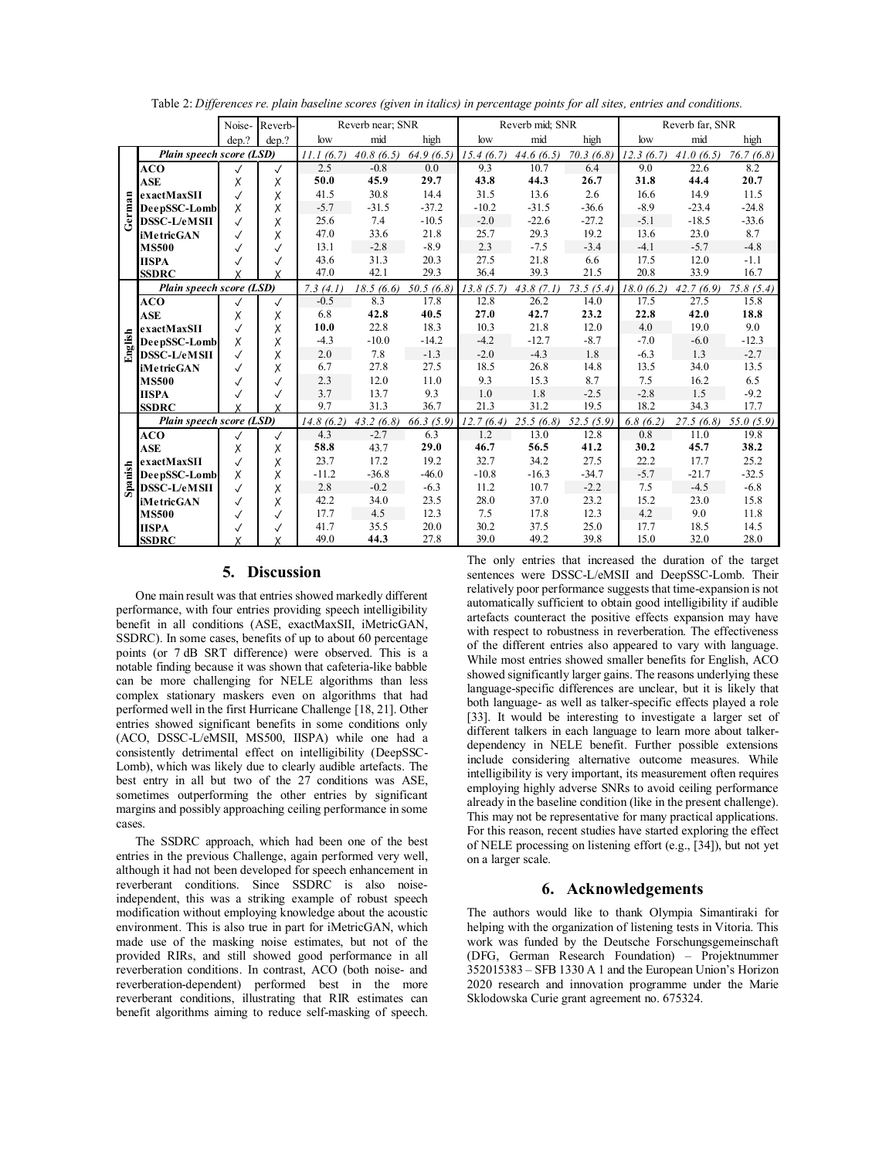| Table 2: Differences re. plain baseline scores (given in italics) in percentage points for all sites, entries and conditions. |  |  |  |
|-------------------------------------------------------------------------------------------------------------------------------|--|--|--|
|-------------------------------------------------------------------------------------------------------------------------------|--|--|--|

|         |                          | Noise-       | Reverb-      | Reverb near; SNR |           | Reverb mid: SNR |           |           | Reverb far, SNR |           |           |           |
|---------|--------------------------|--------------|--------------|------------------|-----------|-----------------|-----------|-----------|-----------------|-----------|-----------|-----------|
|         |                          | dep.?        | dep.?        | low              | mid       | high            | low       | mid       | high            | low       | mid       | high      |
| German  | Plain speech score (LSD) |              | 11.1(6.7)    | 40.8(6.5)        | 64.9(6.5) | 15.4(6.7)       | 44.6(6.5) | 70.3(6.8) | 12.3(6.7)       | 41.0(6.5) | 76.7(6.8) |           |
|         | ACO                      |              | $\checkmark$ | 2.5              | $-0.8$    | 0.0             | 9.3       | 10.7      | 6.4             | 9.0       | 22.6      | 8.2       |
|         | <b>ASE</b>               | X            | Χ            | 50.0             | 45.9      | 29.7            | 43.8      | 44.3      | 26.7            | 31.8      | 44.4      | 20.7      |
|         | exactMaxSII              | $\checkmark$ | Χ            | 41.5             | 30.8      | 14.4            | 31.5      | 13.6      | 2.6             | 16.6      | 14.9      | 11.5      |
|         | DeepSSC-Lomb             | X            | Χ            | $-5.7$           | $-31.5$   | $-37.2$         | $-10.2$   | $-31.5$   | $-36.6$         | $-8.9$    | $-23.4$   | $-24.8$   |
|         | <b>DSSC-L/eMSII</b>      | $\checkmark$ | Χ            | 25.6             | 7.4       | $-10.5$         | $-2.0$    | $-22.6$   | $-27.2$         | $-5.1$    | $-18.5$   | $-33.6$   |
|         | <b>iMetricGAN</b>        |              | Χ            | 47.0             | 33.6      | 21.8            | 25.7      | 29.3      | 19.2            | 13.6      | 23.0      | 8.7       |
|         | <b>MS500</b>             | $\checkmark$ | $\checkmark$ | 13.1             | $-2.8$    | $-8.9$          | 2.3       | $-7.5$    | $-3.4$          | $-4.1$    | $-5.7$    | $-4.8$    |
|         | <b>IISPA</b>             |              | $\checkmark$ | 43.6             | 31.3      | 20.3            | 27.5      | 21.8      | 6.6             | 17.5      | 12.0      | $-1.1$    |
|         | <b>SSDRC</b>             |              | X            | 47.0             | 42.1      | 29.3            | 36.4      | 39.3      | 21.5            | 20.8      | 33.9      | 16.7      |
|         | Plain speech score (LSD) |              |              | 7.3(4.1)         | 18.5(6.6) | 50.5(6.8)       | 13.8(5.7) | 43.8(7.1) | 73.5(5.4)       | 18.0(6.2) | 42.7(6.9) | 75.8(5.4) |
|         | ACO                      |              | $\checkmark$ | $-0.5$           | 8.3       | 17.8            | 12.8      | 26.2      | 14.0            | 17.5      | 27.5      | 15.8      |
| English | <b>ASE</b>               | Χ            | Χ            | 6.8              | 42.8      | 40.5            | 27.0      | 42.7      | 23.2            | 22.8      | 42.0      | 18.8      |
|         | exactMaxSII              | $\checkmark$ | Χ            | 10.0             | 22.8      | 18.3            | 10.3      | 21.8      | 12.0            | 4.0       | 19.0      | 9.0       |
|         | DeepSSC-Lomb             | Χ            | X            | $-4.3$           | $-10.0$   | $-14.2$         | $-4.2$    | $-12.7$   | $-8.7$          | $-7.0$    | $-6.0$    | $-12.3$   |
|         | DSSC-L/eMSII             | $\checkmark$ | Χ            | 2.0              | 7.8       | $-1.3$          | $-2.0$    | $-4.3$    | 1.8             | $-6.3$    | 1.3       | $-2.7$    |
|         | <b>iMetricGAN</b>        | $\checkmark$ | Χ            | 6.7              | 27.8      | 27.5            | 18.5      | 26.8      | 14.8            | 13.5      | 34.0      | 13.5      |
|         | <b>MS500</b>             | $\checkmark$ | √            | 2.3              | 12.0      | 11.0            | 9.3       | 15.3      | 8.7             | 7.5       | 16.2      | 6.5       |
|         | <b>IISPA</b>             |              |              | 3.7              | 13.7      | 9.3             | 1.0       | 1.8       | $-2.5$          | $-2.8$    | 1.5       | $-9.2$    |
|         | <b>SSDRC</b>             | x            | X            | 9.7              | 31.3      | 36.7            | 21.3      | 31.2      | 19.5            | 18.2      | 34.3      | 17.7      |
|         | Plain speech score (LSD) |              | 14.8(6.2)    | 43.2(6.8)        | 66.3(5.9) | 12.7(6.4)       | 25.5(6.8) | 52.5(5.9) | 6.8(6.2)        | 27.5(6.8) | 55.0(5.9) |           |
|         | ACO                      | $\checkmark$ | $\checkmark$ | 4.3              | $-2.7$    | 6.3             | 1.2       | 13.0      | 12.8            | 0.8       | 11.0      | 19.8      |
|         | <b>ASE</b>               | Χ            | Χ            | 58.8             | 43.7      | 29.0            | 46.7      | 56.5      | 41.2            | 30.2      | 45.7      | 38.2      |
|         | exactMaxSII              | $\checkmark$ | Χ            | 23.7             | 17.2      | 19.2            | 32.7      | 34.2      | 27.5            | 22.2      | 17.7      | 25.2      |
|         | DeepSSC-Lomb             | X            | Χ            | $-11.2$          | $-36.8$   | $-46.0$         | $-10.8$   | $-16.3$   | $-34.7$         | $-5.7$    | $-21.7$   | $-32.5$   |
| Spanish | <b>DSSC-L/eMSII</b>      | $\checkmark$ | Χ            | 2.8              | $-0.2$    | $-6.3$          | 11.2      | 10.7      | $-2.2$          | 7.5       | $-4.5$    | $-6.8$    |
|         | iMetricGAN               | $\checkmark$ | Χ            | 42.2             | 34.0      | 23.5            | 28.0      | 37.0      | 23.2            | 15.2      | 23.0      | 15.8      |
|         | <b>MS500</b>             | $\checkmark$ | $\checkmark$ | 17.7             | 4.5       | 12.3            | 7.5       | 17.8      | 12.3            | 4.2       | 9.0       | 11.8      |
|         | <b>IISPA</b>             | √            | √            | 41.7             | 35.5      | 20.0            | 30.2      | 37.5      | 25.0            | 17.7      | 18.5      | 14.5      |
|         | <b>SSDRC</b>             | Χ            | X            | 49.0             | 44.3      | 27.8            | 39.0      | 49.2      | 39.8            | 15.0      | 32.0      | 28.0      |

## **5. Discussion**

One main result was that entries showed markedly different performance, with four entries providing speech intelligibility benefit in all conditions (ASE, exactMaxSII, iMetricGAN, SSDRC). In some cases, benefits of up to about 60 percentage points (or 7 dB SRT difference) were observed. This is a notable finding because it was shown that cafeteria-like babble can be more challenging for NELE algorithms than less complex stationary maskers even on algorithms that had performed well in the first Hurricane Challenge [18, 21]. Other entries showed significant benefits in some conditions only (ACO, DSSC-L/eMSII, MS500, IISPA) while one had a consistently detrimental effect on intelligibility (DeepSSC-Lomb), which was likely due to clearly audible artefacts. The best entry in all but two of the 27 conditions was ASE, sometimes outperforming the other entries by significant margins and possibly approaching ceiling performance in some cases.

The SSDRC approach, which had been one of the best entries in the previous Challenge, again performed very well, although it had not been developed for speech enhancement in reverberant conditions. Since SSDRC is also noiseindependent, this was a striking example of robust speech modification without employing knowledge about the acoustic environment. This is also true in part for iMetricGAN, which made use of the masking noise estimates, but not of the provided RIRs, and still showed good performance in all reverberation conditions. In contrast, ACO (both noise- and reverberation-dependent) performed best in the more reverberant conditions, illustrating that RIR estimates can benefit algorithms aiming to reduce self-masking of speech. The only entries that increased the duration of the target sentences were DSSC-L/eMSII and DeepSSC-Lomb. Their relatively poor performance suggests that time-expansion is not automatically sufficient to obtain good intelligibility if audible artefacts counteract the positive effects expansion may have with respect to robustness in reverberation. The effectiveness of the different entries also appeared to vary with language. While most entries showed smaller benefits for English, ACO showed significantly larger gains. The reasons underlying these language-specific differences are unclear, but it is likely that both language- as well as talker-specific effects played a role [33]. It would be interesting to investigate a larger set of different talkers in each language to learn more about talkerdependency in NELE benefit. Further possible extensions include considering alternative outcome measures. While intelligibility is very important, its measurement often requires employing highly adverse SNRs to avoid ceiling performance already in the baseline condition (like in the present challenge). This may not be representative for many practical applications. For this reason, recent studies have started exploring the effect of NELE processing on listening effort (e.g., [34]), but not yet on a larger scale.

## **6. Acknowledgements**

The authors would like to thank Olympia Simantiraki for helping with the organization of listening tests in Vitoria. This work was funded by the Deutsche Forschungsgemeinschaft (DFG, German Research Foundation) – Projektnummer 352015383 – SFB 1330 A 1 and the European Union's Horizon 2020 research and innovation programme under the Marie Sklodowska Curie grant agreement no. 675324.